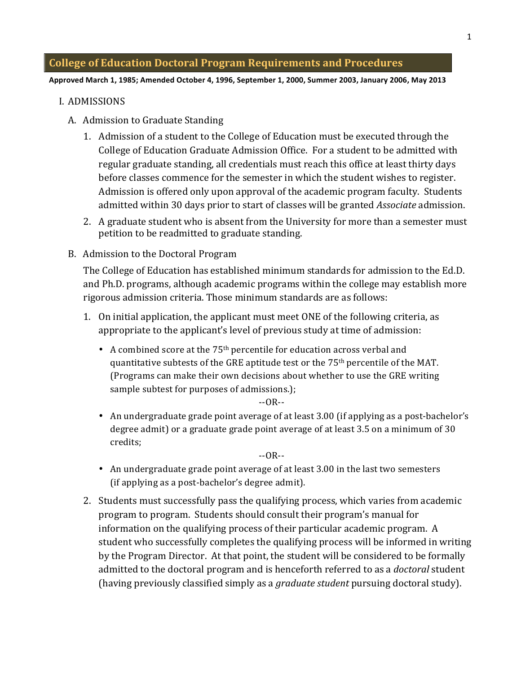Approved March 1, 1985; Amended October 4, 1996, September 1, 2000, Summer 2003, January 2006, May 2013

#### I. ADMISSIONS

- A. Admission to Graduate Standing
	- 1. Admission of a student to the College of Education must be executed through the College of Education Graduate Admission Office. For a student to be admitted with regular graduate standing, all credentials must reach this office at least thirty days before classes commence for the semester in which the student wishes to register. Admission is offered only upon approval of the academic program faculty. Students admitted within 30 days prior to start of classes will be granted *Associate* admission.
	- 2. A graduate student who is absent from the University for more than a semester must petition to be readmitted to graduate standing.
- B. Admission to the Doctoral Program

The College of Education has established minimum standards for admission to the Ed.D. and Ph.D. programs, although academic programs within the college may establish more rigorous admission criteria. Those minimum standards are as follows:

- 1. On initial application, the applicant must meet ONE of the following criteria, as appropriate to the applicant's level of previous study at time of admission:
	- A combined score at the  $75<sup>th</sup>$  percentile for education across verbal and quantitative subtests of the GRE aptitude test or the  $75<sup>th</sup>$  percentile of the MAT. (Programs can make their own decisions about whether to use the GRE writing sample subtest for purposes of admissions.);

 $-OR-$ 

• An undergraduate grade point average of at least 3.00 (if applying as a post-bachelor's degree admit) or a graduate grade point average of at least 3.5 on a minimum of 30 credits;

 $-OR-$ 

- An undergraduate grade point average of at least 3.00 in the last two semesters  $(i$ f applying as a post-bachelor's degree admit).
- 2. Students must successfully pass the qualifying process, which varies from academic program to program. Students should consult their program's manual for information on the qualifying process of their particular academic program. A student who successfully completes the qualifying process will be informed in writing by the Program Director. At that point, the student will be considered to be formally admitted to the doctoral program and is henceforth referred to as a *doctoral* student (having previously classified simply as a *graduate student* pursuing doctoral study).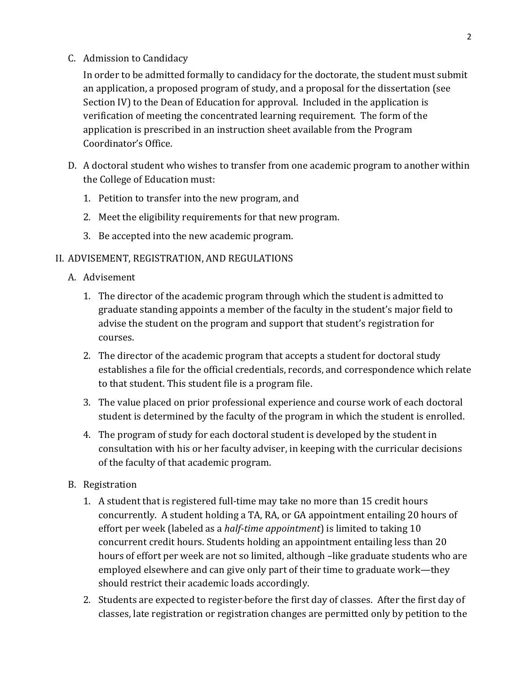C. Admission to Candidacy

In order to be admitted formally to candidacy for the doctorate, the student must submit an application, a proposed program of study, and a proposal for the dissertation (see Section IV) to the Dean of Education for approval. Included in the application is verification of meeting the concentrated learning requirement. The form of the application is prescribed in an instruction sheet available from the Program Coordinator's Office.

- D. A doctoral student who wishes to transfer from one academic program to another within the College of Education must:
	- 1. Petition to transfer into the new program, and
	- 2. Meet the eligibility requirements for that new program.
	- 3. Be accepted into the new academic program.

## II. ADVISEMENT, REGISTRATION, AND REGULATIONS

- A. Advisement
	- 1. The director of the academic program through which the student is admitted to graduate standing appoints a member of the faculty in the student's major field to advise the student on the program and support that student's registration for courses.
	- 2. The director of the academic program that accepts a student for doctoral study establishes a file for the official credentials, records, and correspondence which relate to that student. This student file is a program file.
	- 3. The value placed on prior professional experience and course work of each doctoral student is determined by the faculty of the program in which the student is enrolled.
	- 4. The program of study for each doctoral student is developed by the student in consultation with his or her faculty adviser, in keeping with the curricular decisions of the faculty of that academic program.
- B. Registration
	- 1. A student that is registered full-time may take no more than 15 credit hours concurrently. A student holding a TA, RA, or GA appointment entailing 20 hours of effort per week (labeled as a *half-time appointment*) is limited to taking 10 concurrent credit hours. Students holding an appointment entailing less than 20 hours of effort per week are not so limited, although –like graduate students who are employed elsewhere and can give only part of their time to graduate work—they should restrict their academic loads accordingly.
	- 2. Students are expected to register-before the first day of classes. After the first day of classes, late registration or registration changes are permitted only by petition to the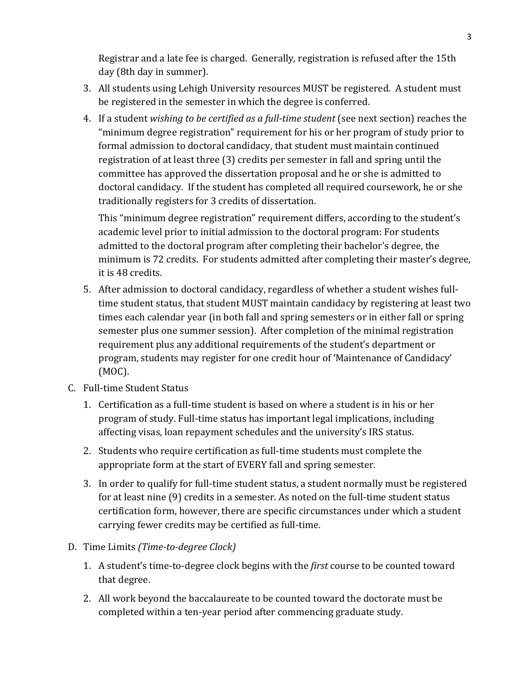Registrar and a late fee is charged. Generally, registration is refused after the 15th day (8th day in summer).

- 3. All students using Lehigh University resources MUST be registered. A student must be registered in the semester in which the degree is conferred.
- 4. If a student *wishing to be certified as a full-time student* (see next section) reaches the "minimum degree registration" requirement for his or her program of study prior to formal admission to doctoral candidacy, that student must maintain continued registration of at least three (3) credits per semester in fall and spring until the committee has approved the dissertation proposal and he or she is admitted to doctoral candidacy. If the student has completed all required coursework, he or she traditionally registers for 3 credits of dissertation.

This "minimum degree registration" requirement differs, according to the student's academic level prior to initial admission to the doctoral program: For students admitted to the doctoral program after completing their bachelor's degree, the minimum is 72 credits. For students admitted after completing their master's degree, it is 48 credits.

- 5. After admission to doctoral candidacy, regardless of whether a student wishes fulltime student status, that student MUST maintain candidacy by registering at least two times each calendar year (in both fall and spring semesters or in either fall or spring semester plus one summer session). After completion of the minimal registration requirement plus any additional requirements of the student's department or program, students may register for one credit hour of 'Maintenance of Candidacy'  $(MOC)$ .
- C. Full-time Student Status
	- 1. Certification as a full-time student is based on where a student is in his or her program of study. Full-time status has important legal implications, including affecting visas, loan repayment schedules and the university's IRS status.
	- 2. Students who require certification as full-time students must complete the appropriate form at the start of EVERY fall and spring semester.
	- 3. In order to qualify for full-time student status, a student normally must be registered for at least nine (9) credits in a semester. As noted on the full-time student status certification form, however, there are specific circumstances under which a student carrying fewer credits may be certified as full-time.
- D. Time Limits *(Time-to-degree Clock)* 
	- 1. A student's time-to-degree clock begins with the *first* course to be counted toward that degree.
	- 2. All work beyond the baccalaureate to be counted toward the doctorate must be completed within a ten-year period after commencing graduate study.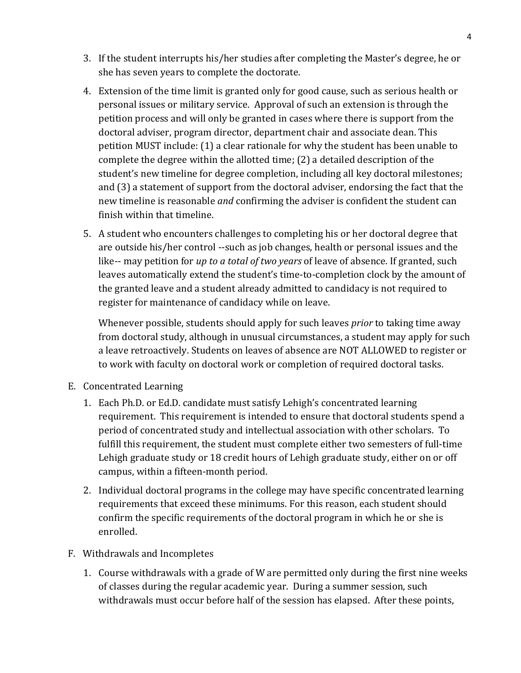- 3. If the student interrupts his/her studies after completing the Master's degree, he or she has seven years to complete the doctorate.
- 4. Extension of the time limit is granted only for good cause, such as serious health or personal issues or military service. Approval of such an extension is through the petition process and will only be granted in cases where there is support from the doctoral adviser, program director, department chair and associate dean. This petition MUST include:  $(1)$  a clear rationale for why the student has been unable to complete the degree within the allotted time;  $(2)$  a detailed description of the student's new timeline for degree completion, including all key doctoral milestones; and (3) a statement of support from the doctoral adviser, endorsing the fact that the new timeline is reasonable *and* confirming the adviser is confident the student can finish within that timeline.
- 5. A student who encounters challenges to completing his or her doctoral degree that are outside his/her control --such as job changes, health or personal issues and the like-- may petition for *up to a total of two years* of leave of absence. If granted, such leaves automatically extend the student's time-to-completion clock by the amount of the granted leave and a student already admitted to candidacy is not required to register for maintenance of candidacy while on leave.

Whenever possible, students should apply for such leaves *prior* to taking time away from doctoral study, although in unusual circumstances, a student may apply for such a leave retroactively. Students on leaves of absence are NOT ALLOWED to register or to work with faculty on doctoral work or completion of required doctoral tasks.

- E. Concentrated Learning
	- 1. Each Ph.D. or Ed.D. candidate must satisfy Lehigh's concentrated learning requirement. This requirement is intended to ensure that doctoral students spend a period of concentrated study and intellectual association with other scholars. To fulfill this requirement, the student must complete either two semesters of full-time Lehigh graduate study or 18 credit hours of Lehigh graduate study, either on or off campus, within a fifteen-month period.
	- 2. Individual doctoral programs in the college may have specific concentrated learning requirements that exceed these minimums. For this reason, each student should confirm the specific requirements of the doctoral program in which he or she is enrolled.
- F. Withdrawals and Incompletes
	- 1. Course withdrawals with a grade of W are permitted only during the first nine weeks of classes during the regular academic year. During a summer session, such withdrawals must occur before half of the session has elapsed. After these points,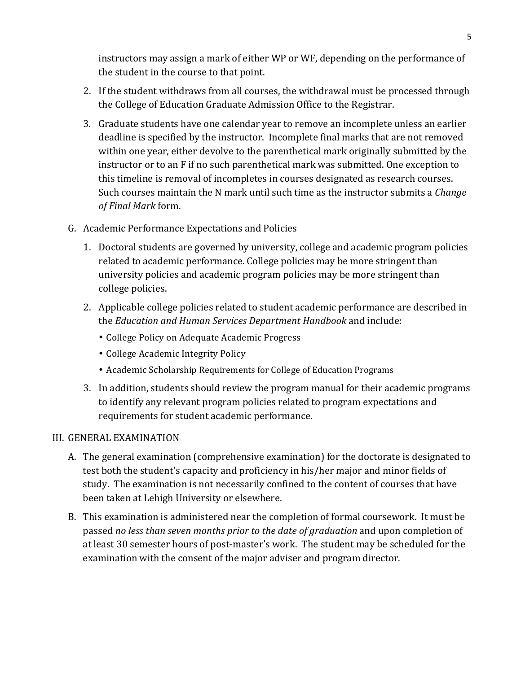instructors may assign a mark of either WP or WF, depending on the performance of the student in the course to that point.

- 2. If the student withdraws from all courses, the withdrawal must be processed through the College of Education Graduate Admission Office to the Registrar.
- 3. Graduate students have one calendar year to remove an incomplete unless an earlier deadline is specified by the instructor. Incomplete final marks that are not removed within one year, either devolve to the parenthetical mark originally submitted by the instructor or to an F if no such parenthetical mark was submitted. One exception to this timeline is removal of incompletes in courses designated as research courses. Such courses maintain the N mark until such time as the instructor submits a *Change*  $of$ *Final Mark* form.
- G. Academic Performance Expectations and Policies
	- 1. Doctoral students are governed by university, college and academic program policies related to academic performance. College policies may be more stringent than university policies and academic program policies may be more stringent than college policies.
	- 2. Applicable college policies related to student academic performance are described in the *Education and Human Services Department Handbook* and include:
		- College Policy on Adequate Academic Progress
		- College Academic Integrity Policy
		- Academic Scholarship Requirements for College of Education Programs
	- 3. In addition, students should review the program manual for their academic programs to identify any relevant program policies related to program expectations and requirements for student academic performance.

## III. GENERAL EXAMINATION

- A. The general examination (comprehensive examination) for the doctorate is designated to test both the student's capacity and proficiency in his/her major and minor fields of study. The examination is not necessarily confined to the content of courses that have been taken at Lehigh University or elsewhere.
- B. This examination is administered near the completion of formal coursework. It must be passed *no, less than, seven, months,prior, to the date of graduation* and upon completion of at least 30 semester hours of post-master's work. The student may be scheduled for the examination with the consent of the major adviser and program director.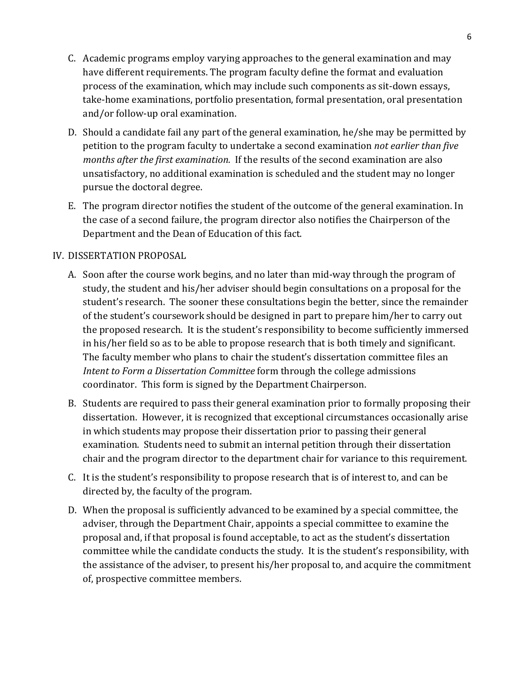- C. Academic programs employ varying approaches to the general examination and may have different requirements. The program faculty define the format and evaluation process of the examination, which may include such components as sit-down essays, take-home examinations, portfolio presentation, formal presentation, oral presentation and/or follow-up oral examination.
- D. Should a candidate fail any part of the general examination, he/she may be permitted by petition to the program faculty to undertake a second examination *not earlier than five months after the first examination.* If the results of the second examination are also unsatisfactory, no additional examination is scheduled and the student may no longer pursue the doctoral degree.
- E. The program director notifies the student of the outcome of the general examination. In the case of a second failure, the program director also notifies the Chairperson of the Department and the Dean of Education of this fact.

## IV. DISSERTATION!PROPOSAL

- A. Soon after the course work begins, and no later than mid-way through the program of study, the student and his/her adviser should begin consultations on a proposal for the student's research. The sooner these consultations begin the better, since the remainder of the student's coursework should be designed in part to prepare him/her to carry out the proposed research. It is the student's responsibility to become sufficiently immersed in his/her field so as to be able to propose research that is both timely and significant. The faculty member who plans to chair the student's dissertation committee files an *Intent to Form a Dissertation Committee form through the college admissions* coordinator. This form is signed by the Department Chairperson.
- B. Students are required to pass their general examination prior to formally proposing their dissertation. However, it is recognized that exceptional circumstances occasionally arise in which students may propose their dissertation prior to passing their general examination. Students need to submit an internal petition through their dissertation chair and the program director to the department chair for variance to this requirement.
- C. It is the student's responsibility to propose research that is of interest to, and can be directed by, the faculty of the program.
- D. When the proposal is sufficiently advanced to be examined by a special committee, the adviser, through the Department Chair, appoints a special committee to examine the proposal and, if that proposal is found acceptable, to act as the student's dissertation committee while the candidate conducts the study. It is the student's responsibility, with the assistance of the adviser, to present his/her proposal to, and acquire the commitment of, prospective committee members.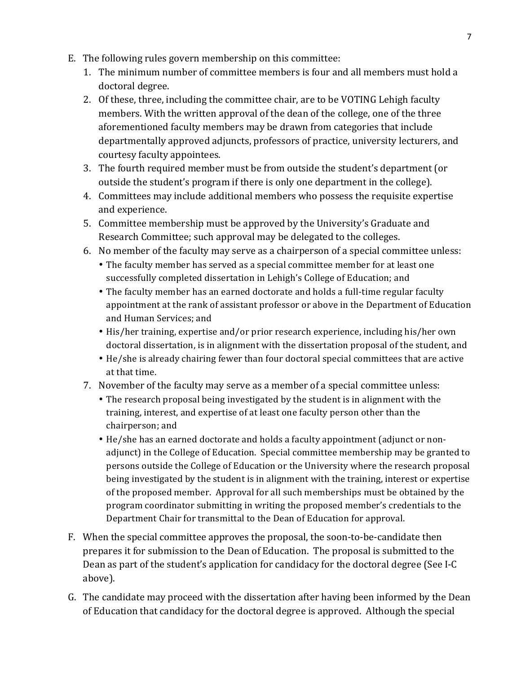- E. The following rules govern membership on this committee:
	- 1. The minimum number of committee members is four and all members must hold a doctoral degree.
	- 2. Of these, three, including the committee chair, are to be VOTING Lehigh faculty members. With the written approval of the dean of the college, one of the three aforementioned faculty members may be drawn from categories that include departmentally approved adjuncts, professors of practice, university lecturers, and courtesy faculty appointees.
	- 3. The fourth required member must be from outside the student's department (or outside the student's program if there is only one department in the college).
	- 4. Committees may include additional members who possess the requisite expertise and experience.
	- 5. Committee membership must be approved by the University's Graduate and Research Committee; such approval may be delegated to the colleges.
	- 6. No member of the faculty may serve as a chairperson of a special committee unless:
		- The faculty member has served as a special committee member for at least one successfully completed dissertation in Lehigh's College of Education; and
		- The faculty member has an earned doctorate and holds a full-time regular faculty appointment at the rank of assistant professor or above in the Department of Education and Human Services; and
		- His/her training, expertise and/or prior research experience, including his/her own doctoral dissertation, is in alignment with the dissertation proposal of the student, and
		- He/she is already chairing fewer than four doctoral special committees that are active at that time.
	- 7. November of the faculty may serve as a member of a special committee unless:
		- The research proposal being investigated by the student is in alignment with the training, interest, and expertise of at least one faculty person other than the chairperson; and
		- He/she has an earned doctorate and holds a faculty appointment (adjunct or nonadjunct) in the College of Education. Special committee membership may be granted to persons outside the College of Education or the University where the research proposal being investigated by the student is in alignment with the training, interest or expertise of the proposed member. Approval for all such memberships must be obtained by the program coordinator submitting in writing the proposed member's credentials to the Department Chair for transmittal to the Dean of Education for approval.
- F. When the special committee approves the proposal, the soon-to-be-candidate then prepares it for submission to the Dean of Education. The proposal is submitted to the Dean as part of the student's application for candidacy for the doctoral degree (See I-C above).
- G. The candidate may proceed with the dissertation after having been informed by the Dean of Education that candidacy for the doctoral degree is approved. Although the special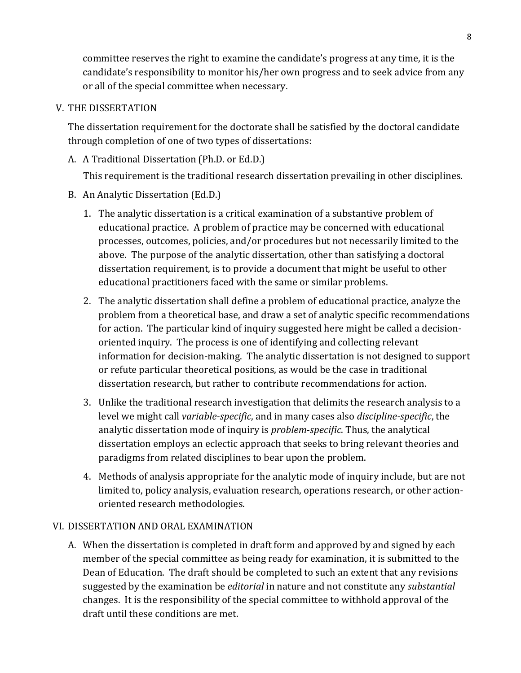committee reserves the right to examine the candidate's progress at any time, it is the candidate's responsibility to monitor his/her own progress and to seek advice from any or all of the special committee when necessary.

## V. THE DISSERTATION

The dissertation requirement for the doctorate shall be satisfied by the doctoral candidate through completion of one of two types of dissertations:

A. A Traditional Dissertation (Ph.D. or Ed.D.)

This requirement is the traditional research dissertation prevailing in other disciplines.

- B. An Analytic Dissertation (Ed.D.)
	- 1. The analytic dissertation is a critical examination of a substantive problem of educational practice. A problem of practice may be concerned with educational processes, outcomes, policies, and/or procedures but not necessarily limited to the above. The purpose of the analytic dissertation, other than satisfying a doctoral dissertation requirement, is to provide a document that might be useful to other educational practitioners faced with the same or similar problems.
	- 2. The analytic dissertation shall define a problem of educational practice, analyze the problem from a theoretical base, and draw a set of analytic specific recommendations for action. The particular kind of inquiry suggested here might be called a decisionoriented inquiry. The process is one of identifying and collecting relevant information for decision-making. The analytic dissertation is not designed to support or refute particular theoretical positions, as would be the case in traditional dissertation research, but rather to contribute recommendations for action.
	- 3. Unlike the traditional research investigation that delimits the research analysis to a level we might call *variable-specific*, and in many cases also *discipline-specific*, the analytic dissertation mode of inquiry is *problem-specific*. Thus, the analytical dissertation employs an eclectic approach that seeks to bring relevant theories and paradigms from related disciplines to bear upon the problem.
	- 4. Methods of analysis appropriate for the analytic mode of inquiry include, but are not limited to, policy analysis, evaluation research, operations research, or other actionoriented research methodologies.

## VI. DISSERTATION AND ORAL EXAMINATION

A. When the dissertation is completed in draft form and approved by and signed by each member of the special committee as being ready for examination, it is submitted to the Dean of Education. The draft should be completed to such an extent that any revisions suggested by the examination be *editorial* in nature and not constitute any *substantial* changes. It is the responsibility of the special committee to withhold approval of the draft until these conditions are met.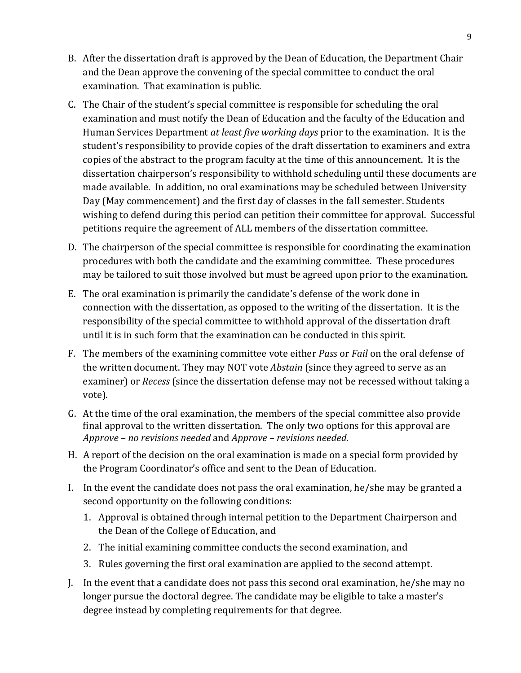- B. After the dissertation draft is approved by the Dean of Education, the Department Chair and the Dean approve the convening of the special committee to conduct the oral examination. That examination is public.
- C. The Chair of the student's special committee is responsible for scheduling the oral examination and must notify the Dean of Education and the faculty of the Education and Human Services Department *at least five working days* prior to the examination. It is the student's responsibility to provide copies of the draft dissertation to examiners and extra copies of the abstract to the program faculty at the time of this announcement. It is the dissertation chairperson's responsibility to withhold scheduling until these documents are made available. In addition, no oral examinations may be scheduled between University Day (May commencement) and the first day of classes in the fall semester. Students wishing to defend during this period can petition their committee for approval. Successful petitions require the agreement of ALL members of the dissertation committee.
- D. The chairperson of the special committee is responsible for coordinating the examination procedures with both the candidate and the examining committee. These procedures may be tailored to suit those involved but must be agreed upon prior to the examination.
- E. The oral examination is primarily the candidate's defense of the work done in connection with the dissertation, as opposed to the writing of the dissertation. It is the responsibility of the special committee to withhold approval of the dissertation draft until it is in such form that the examination can be conducted in this spirit.
- F. The members of the examining committee vote either *Pass* or *Fail* on the oral defense of the written document. They may NOT vote *Abstain* (since they agreed to serve as an examiner) or *Recess* (since the dissertation defense may not be recessed without taking a vote).
- G. At the time of the oral examination, the members of the special committee also provide final approval to the written dissertation. The only two options for this approval are *Approve,– no,revisions,needed* and!*Approve,– revisions,needed*.
- H. A report of the decision on the oral examination is made on a special form provided by the Program Coordinator's office and sent to the Dean of Education.
- I. In the event the candidate does not pass the oral examination, he/she may be granted a second opportunity on the following conditions:
	- 1. Approval is obtained through internal petition to the Department Chairperson and the Dean of the College of Education, and
	- 2. The initial examining committee conducts the second examination, and
	- 3. Rules governing the first oral examination are applied to the second attempt.
- J. In the event that a candidate does not pass this second oral examination, he/she may no longer pursue the doctoral degree. The candidate may be eligible to take a master's degree instead by completing requirements for that degree.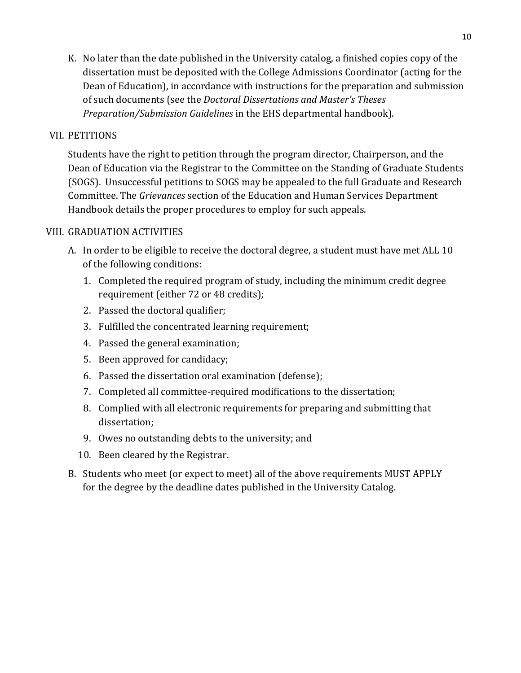K. No later than the date published in the University catalog, a finished copies copy of the dissertation must be deposited with the College Admissions Coordinator (acting for the Dean of Education), in accordance with instructions for the preparation and submission of!such!documents!(see!the!*Doctoral,Dissertations,and,Master's,Theses, Preparation/Submission Guidelines* in the EHS departmental handbook).

## VII. PETITIONS

Students have the right to petition through the program director, Chairperson, and the Dean of Education via the Registrar to the Committee on the Standing of Graduate Students (SOGS). Unsuccessful petitions to SOGS may be appealed to the full Graduate and Research Committee. The *Grievances* section of the Education and Human Services Department Handbook details the proper procedures to employ for such appeals.

## VIII. GRADUATION!ACTIVITIES

- A. In order to be eligible to receive the doctoral degree, a student must have met ALL 10 of the following conditions:
	- 1. Completed the required program of study, including the minimum credit degree requirement (either 72 or 48 credits);
	- 2. Passed the doctoral qualifier;
	- 3. Fulfilled the concentrated learning requirement;
	- 4. Passed the general examination;
	- 5. Been approved for candidacy;
	- 6. Passed the dissertation oral examination (defense);
	- 7. Completed all committee-required modifications to the dissertation;
	- 8. Complied with all electronic requirements for preparing and submitting that dissertation;
	- 9. Owes no outstanding debts to the university; and
	- 10. Been cleared by the Registrar.
- B. Students who meet (or expect to meet) all of the above requirements MUST APPLY for the degree by the deadline dates published in the University Catalog.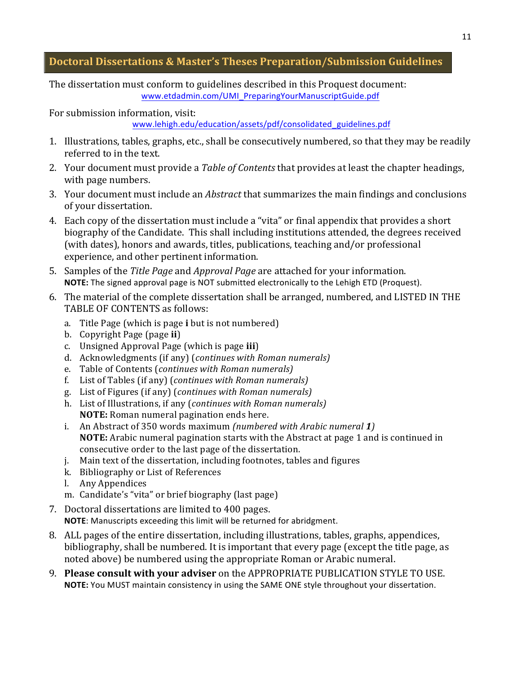## **Doctoral&Dissertations&& Master's&Theses&Preparation/Submission Guidelines**

The dissertation must conform to guidelines described in this Proquest document: www.etdadmin.com/UMI\_PreparingYourManuscriptGuide.pdf

For submission information, visit:

www.lehigh.edu/education/assets/pdf/consolidated\_guidelines.pdf

- 1. Illustrations, tables, graphs, etc., shall be consecutively numbered, so that they may be readily referred to in the text.
- 2. Your document must provide a *Table of Contents* that provides at least the chapter headings, with page numbers.
- 3. Your document must include an *Abstract* that summarizes the main findings and conclusions of your dissertation.
- 4. Each copy of the dissertation must include a "vita" or final appendix that provides a short biography of the Candidate. This shall including institutions attended, the degrees received (with dates), honors and awards, titles, publications, teaching and/or professional experience, and other pertinent information.
- 5. Samples of the *Title Page* and *Approval Page* are attached for your information. NOTE: The signed approval page is NOT submitted electronically to the Lehigh ETD (Proquest).
- 6. The material of the complete dissertation shall be arranged, numbered, and LISTED IN THE TABLE OF CONTENTS as follows:
	- a. Title Page (which is page **i** but is not numbered)
	- b. Copyright Page (page **ii**)
	- c. Unsigned Approval Page (which is page *iii*)
	- d. Acknowledgments (if any) (*continues with Roman numerals*)
	- e. Table!of!Contents!(*continues with,Roman,numerals),*
	- f. List!of!Tables!(if!any)!(*continues with,Roman,numerals)*
	- g. List!of!Figures!(if!any)!(*continues with,Roman,numerals)*
	- h. List of Illustrations, if any (*continues with Roman numerals*) **NOTE:** Roman numeral pagination ends here.
	- i. An Abstract of 350 words maximum *(numbered with Arabic numeral 1)* **NOTE:** Arabic numeral pagination starts with the Abstract at page 1 and is continued in consecutive order to the last page of the dissertation.
	- j. Main text of the dissertation, including footnotes, tables and figures
	- k. Bibliography or List of References
	- l. Any Appendices
	- m. Candidate's "vita" or brief biography (last page)
- 7. Doctoral dissertations are limited to 400 pages.

**NOTE:** Manuscripts exceeding this limit will be returned for abridgment.

- 8. ALL pages of the entire dissertation, including illustrations, tables, graphs, appendices, bibliography, shall be numbered. It is important that every page (except the title page, as noted above) be numbered using the appropriate Roman or Arabic numeral.
- 9. **Please consult with your adviser** on the APPROPRIATE PUBLICATION STYLE TO USE. **NOTE:** You MUST maintain consistency in using the SAME ONE style throughout your dissertation.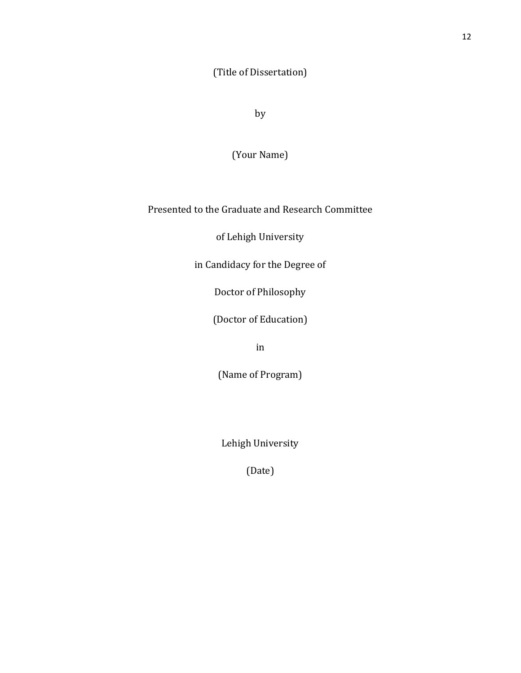(Title of Dissertation)

by

(Your Name)

Presented to the Graduate and Research Committee

of Lehigh University

in Candidacy for the Degree of

Doctor of Philosophy

(Doctor of Education)

in

(Name of Program)

Lehigh University

(Date)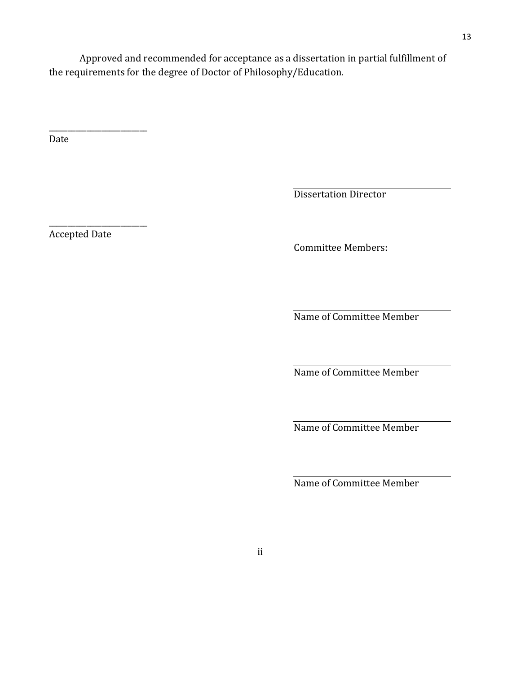Approved and recommended for acceptance as a dissertation in partial fulfillment of the requirements for the degree of Doctor of Philosophy/Education.

Date

Dissertation Director

Accepted Date

\_\_\_\_\_\_\_\_\_\_\_\_\_\_\_\_\_\_\_\_\_\_\_\_\_\_

\_\_\_\_\_\_\_\_\_\_\_\_\_\_\_\_\_\_\_\_\_\_\_\_\_\_

Committee Members:

Name of Committee Member

Name of Committee Member

Name of Committee Member

Name of Committee Member

13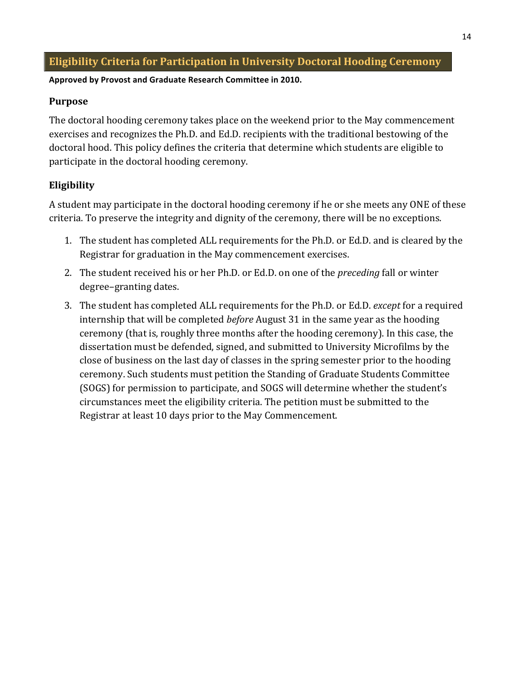# **Eligibility Criteria for Participation in University Doctoral Hooding Ceremony**

#### Approved by Provost and Graduate Research Committee in 2010.

#### **Purpose**

The doctoral hooding ceremony takes place on the weekend prior to the May commencement exercises and recognizes the Ph.D. and Ed.D. recipients with the traditional bestowing of the doctoral hood. This policy defines the criteria that determine which students are eligible to participate in the doctoral hooding ceremony.

# **Eligibility**

A student may participate in the doctoral hooding ceremony if he or she meets any ONE of these criteria. To preserve the integrity and dignity of the ceremony, there will be no exceptions.

- 1. The student has completed ALL requirements for the Ph.D. or Ed.D. and is cleared by the Registrar for graduation in the May commencement exercises.
- 2. The student received his or her Ph.D. or Ed.D. on one of the *preceding* fall or winter degree–granting dates.
- 3. The student has completed ALL requirements for the Ph.D. or Ed.D. *except* for a required internship that will be completed *before* August 31 in the same year as the hooding ceremony (that is, roughly three months after the hooding ceremony). In this case, the dissertation must be defended, signed, and submitted to University Microfilms by the close of business on the last day of classes in the spring semester prior to the hooding ceremony. Such students must petition the Standing of Graduate Students Committee (SOGS) for permission to participate, and SOGS will determine whether the student's circumstances meet the eligibility criteria. The petition must be submitted to the Registrar at least 10 days prior to the May Commencement.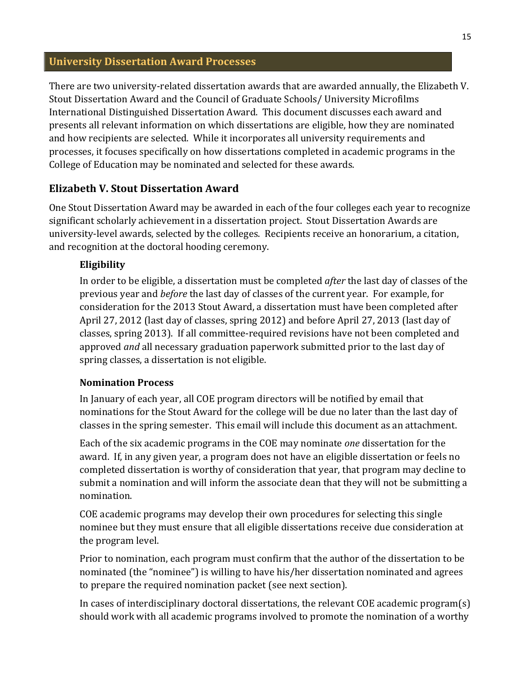## **University Dissertation Award Processes**

There are two university-related dissertation awards that are awarded annually, the Elizabeth V. Stout Dissertation Award and the Council of Graduate Schools/ University Microfilms International Distinguished Dissertation Award. This document discusses each award and presents all relevant information on which dissertations are eligible, how they are nominated and how recipients are selected. While it incorporates all university requirements and processes, it focuses specifically on how dissertations completed in academic programs in the College of Education may be nominated and selected for these awards.

#### **Elizabeth&V.&Stout&Dissertation&Award**

One Stout Dissertation Award may be awarded in each of the four colleges each year to recognize significant scholarly achievement in a dissertation project. Stout Dissertation Awards are university-level awards, selected by the colleges. Recipients receive an honorarium, a citation, and recognition at the doctoral hooding ceremony.

#### **Eligibility**

In order to be eligible, a dissertation must be completed *after* the last day of classes of the previous year and *before* the last day of classes of the current year. For example, for consideration for the 2013 Stout Award, a dissertation must have been completed after April 27, 2012 (last day of classes, spring 2012) and before April 27, 2013 (last day of classes, spring 2013). If all committee-required revisions have not been completed and approved *and* all necessary graduation paperwork submitted prior to the last day of spring classes, a dissertation is not eligible.

#### **Nomination&Process**

In January of each year, all COE program directors will be notified by email that nominations for the Stout Award for the college will be due no later than the last day of classes in the spring semester. This email will include this document as an attachment.

Each of the six academic programs in the COE may nominate *one* dissertation for the award. If, in any given year, a program does not have an eligible dissertation or feels no completed dissertation is worthy of consideration that year, that program may decline to submit a nomination and will inform the associate dean that they will not be submitting a nomination.

COE academic programs may develop their own procedures for selecting this single nominee but they must ensure that all eligible dissertations receive due consideration at the program level.

Prior to nomination, each program must confirm that the author of the dissertation to be nominated (the "nominee") is willing to have his/her dissertation nominated and agrees to prepare the required nomination packet (see next section).

In cases of interdisciplinary doctoral dissertations, the relevant  $COE$  academic program(s) should work with all academic programs involved to promote the nomination of a worthy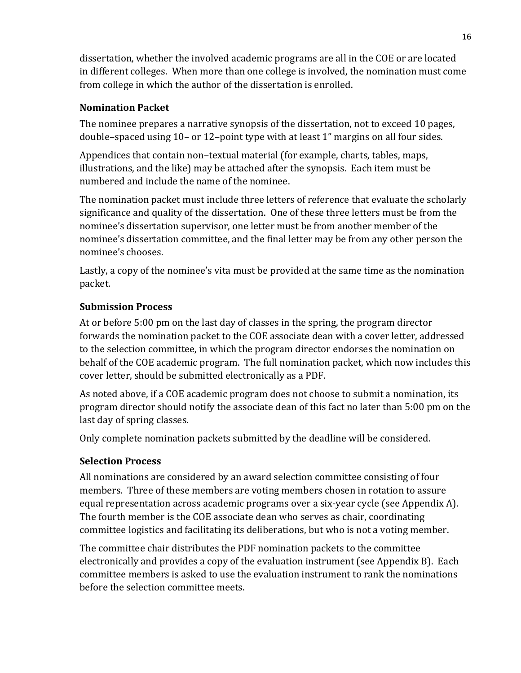dissertation, whether the involved academic programs are all in the COE or are located in different colleges. When more than one college is involved, the nomination must come from college in which the author of the dissertation is enrolled.

# **Nomination Packet**

The nominee prepares a narrative synopsis of the dissertation, not to exceed 10 pages, double–spaced using  $10$ – or  $12$ –point type with at least  $1$ " margins on all four sides.

Appendices that contain non–textual material (for example, charts, tables, maps, illustrations, and the like) may be attached after the synopsis. Each item must be numbered and include the name of the nominee.

The nomination packet must include three letters of reference that evaluate the scholarly significance and quality of the dissertation. One of these three letters must be from the nominee's dissertation supervisor, one letter must be from another member of the nominee's dissertation committee, and the final letter may be from any other person the nominee's chooses.

Lastly, a copy of the nominee's vita must be provided at the same time as the nomination packet.

## **Submission Process**

At or before 5:00 pm on the last day of classes in the spring, the program director forwards the nomination packet to the COE associate dean with a cover letter, addressed to the selection committee, in which the program director endorses the nomination on behalf of the COE academic program. The full nomination packet, which now includes this cover letter, should be submitted electronically as a PDF.

As noted above, if a COE academic program does not choose to submit a nomination, its program director should notify the associate dean of this fact no later than 5:00 pm on the last day of spring classes.

Only complete nomination packets submitted by the deadline will be considered.

## **Selection&Process**

All nominations are considered by an award selection committee consisting of four members. Three of these members are voting members chosen in rotation to assure equal representation across academic programs over a six-year cycle (see Appendix A). The fourth member is the COE associate dean who serves as chair, coordinating committee logistics and facilitating its deliberations, but who is not a voting member.

The committee chair distributes the PDF nomination packets to the committee electronically and provides a copy of the evaluation instrument (see Appendix B). Each committee members is asked to use the evaluation instrument to rank the nominations before the selection committee meets.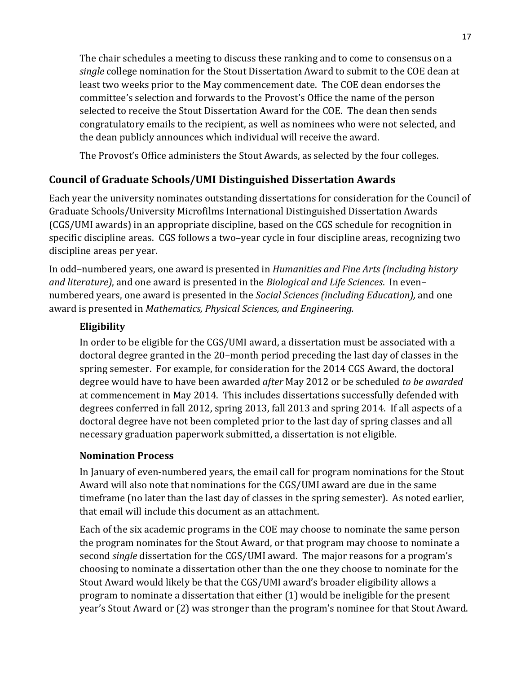The chair schedules a meeting to discuss these ranking and to come to consensus on a *single* college nomination for the Stout Dissertation Award to submit to the COE dean at least two weeks prior to the May commencement date. The COE dean endorses the committee's selection and forwards to the Provost's Office the name of the person selected to receive the Stout Dissertation Award for the COE. The dean then sends congratulatory emails to the recipient, as well as nominees who were not selected, and the dean publicly announces which individual will receive the award.

The Provost's Office administers the Stout Awards, as selected by the four colleges.

# **Council of Graduate Schools/UMI Distinguished Dissertation Awards**

Each year the university nominates outstanding dissertations for consideration for the Council of Graduate Schools/University Microfilms International Distinguished Dissertation Awards (CGS/UMI awards) in an appropriate discipline, based on the CGS schedule for recognition in specific discipline areas. CGS follows a two–year cycle in four discipline areas, recognizing two discipline areas per year.

In odd–numbered years, one award is presented in *Humanities and Fine Arts (including history*) *and literature)*, and one award is presented in the *Biological and Life Sciences*. In even– numbered years, one award is presented in the *Social Sciences (including Education)*, and one award is presented in *Mathematics, Physical Sciences, and Engineering.* 

# **Eligibility**

In order to be eligible for the CGS/UMI award, a dissertation must be associated with a doctoral degree granted in the 20–month period preceding the last day of classes in the spring semester. For example, for consideration for the 2014 CGS Award, the doctoral degree would have to have been awarded *after* May 2012 or be scheduled *to be awarded* at commencement in May 2014. This includes dissertations successfully defended with degrees conferred in fall 2012, spring 2013, fall 2013 and spring 2014. If all aspects of a doctoral degree have not been completed prior to the last day of spring classes and all necessary graduation paperwork submitted, a dissertation is not eligible.

## **Nomination&Process**

In January of even-numbered years, the email call for program nominations for the Stout Award will also note that nominations for the CGS/UMI award are due in the same timeframe (no later than the last day of classes in the spring semester). As noted earlier, that email will include this document as an attachment.

Each of the six academic programs in the COE may choose to nominate the same person the program nominates for the Stout Award, or that program may choose to nominate a second *single* dissertation for the CGS/UMI award. The major reasons for a program's choosing to nominate a dissertation other than the one they choose to nominate for the Stout Award would likely be that the CGS/UMI award's broader eligibility allows a program to nominate a dissertation that either (1) would be ineligible for the present year's Stout Award or (2) was stronger than the program's nominee for that Stout Award.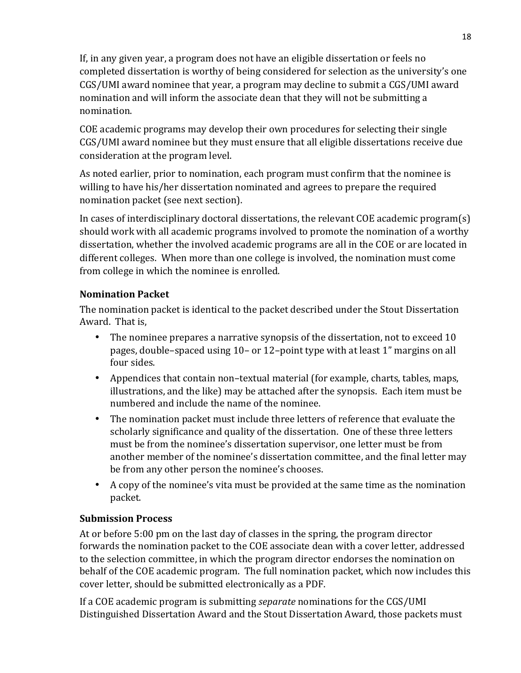If, in any given year, a program does not have an eligible dissertation or feels no completed dissertation is worthy of being considered for selection as the university's one CGS/UMI award nominee that year, a program may decline to submit a CGS/UMI award nomination and will inform the associate dean that they will not be submitting a nomination.

COE academic programs may develop their own procedures for selecting their single CGS/UMI award nominee but they must ensure that all eligible dissertations receive due consideration at the program level.

As noted earlier, prior to nomination, each program must confirm that the nominee is willing to have his/her dissertation nominated and agrees to prepare the required nomination packet (see next section).

In cases of interdisciplinary doctoral dissertations, the relevant COE academic program(s) should work with all academic programs involved to promote the nomination of a worthy dissertation, whether the involved academic programs are all in the COE or are located in different colleges. When more than one college is involved, the nomination must come from college in which the nominee is enrolled.

## **Nomination Packet**

The nomination packet is identical to the packet described under the Stout Dissertation Award. That is,

- The nominee prepares a narrative synopsis of the dissertation, not to exceed  $10$ pages, double–spaced using 10– or 12–point type with at least 1" margins on all four sides.
- Appendices that contain non-textual material (for example, charts, tables, maps, illustrations, and the like) may be attached after the synopsis. Each item must be numbered and include the name of the nominee.
- The nomination packet must include three letters of reference that evaluate the scholarly significance and quality of the dissertation. One of these three letters must be from the nominee's dissertation supervisor, one letter must be from another member of the nominee's dissertation committee, and the final letter may be from any other person the nominee's chooses.
- A copy of the nominee's vita must be provided at the same time as the nomination packet.

#### **Submission&Process**

At or before 5:00 pm on the last day of classes in the spring, the program director forwards the nomination packet to the COE associate dean with a cover letter, addressed to the selection committee, in which the program director endorses the nomination on behalf of the COE academic program. The full nomination packet, which now includes this cover letter, should be submitted electronically as a PDF.

If a COE academic program is submitting *separate* nominations for the CGS/UMI Distinguished Dissertation Award and the Stout Dissertation Award, those packets must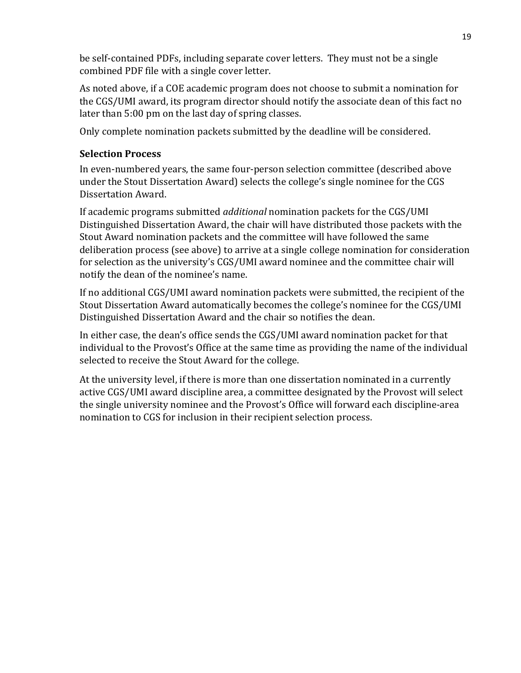be self-contained PDFs, including separate cover letters. They must not be a single combined PDF file with a single cover letter.

As noted above, if a COE academic program does not choose to submit a nomination for the CGS/UMI award, its program director should notify the associate dean of this fact no later than 5:00 pm on the last day of spring classes.

Only complete nomination packets submitted by the deadline will be considered.

## **Selection Process**

In even-numbered years, the same four-person selection committee (described above under the Stout Dissertation Award) selects the college's single nominee for the CGS Dissertation Award.

If academic programs submitted *additional* nomination packets for the CGS/UMI Distinguished Dissertation Award, the chair will have distributed those packets with the Stout Award nomination packets and the committee will have followed the same deliberation process (see above) to arrive at a single college nomination for consideration for selection as the university's CGS/UMI award nominee and the committee chair will notify the dean of the nominee's name.

If no additional CGS/UMI award nomination packets were submitted, the recipient of the Stout Dissertation Award automatically becomes the college's nominee for the CGS/UMI Distinguished Dissertation Award and the chair so notifies the dean.

In either case, the dean's office sends the CGS/UMI award nomination packet for that individual to the Provost's Office at the same time as providing the name of the individual selected to receive the Stout Award for the college.

At the university level, if there is more than one dissertation nominated in a currently active CGS/UMI award discipline area, a committee designated by the Provost will select the single university nominee and the Provost's Office will forward each discipline-area nomination to CGS for inclusion in their recipient selection process.